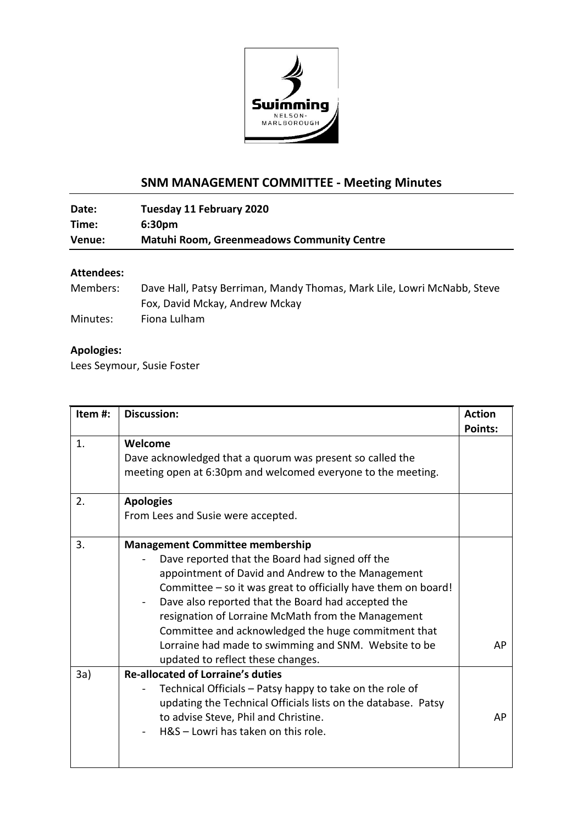

## **SNM MANAGEMENT COMMITTEE - Meeting Minutes**

**Date: Tuesday 11 February 2020 Time: 6:30pm Venue: Matuhi Room, Greenmeadows Community Centre**

## **Attendees:**

| Members: | Dave Hall, Patsy Berriman, Mandy Thomas, Mark Lile, Lowri McNabb, Steve |
|----------|-------------------------------------------------------------------------|
|          | Fox, David Mckay, Andrew Mckay                                          |
| Minutes: | Fiona Lulham                                                            |

## **Apologies:**

Lees Seymour, Susie Foster

| Item#: | <b>Discussion:</b>                                                                                                                                                                                                                                                                                                                                                                                                                                                              | <b>Action</b>  |
|--------|---------------------------------------------------------------------------------------------------------------------------------------------------------------------------------------------------------------------------------------------------------------------------------------------------------------------------------------------------------------------------------------------------------------------------------------------------------------------------------|----------------|
| 1.     | Welcome<br>Dave acknowledged that a quorum was present so called the<br>meeting open at 6:30pm and welcomed everyone to the meeting.                                                                                                                                                                                                                                                                                                                                            | <b>Points:</b> |
| 2.     | <b>Apologies</b><br>From Lees and Susie were accepted.                                                                                                                                                                                                                                                                                                                                                                                                                          |                |
| 3.     | <b>Management Committee membership</b><br>Dave reported that the Board had signed off the<br>appointment of David and Andrew to the Management<br>Committee – so it was great to officially have them on board!<br>Dave also reported that the Board had accepted the<br>resignation of Lorraine McMath from the Management<br>Committee and acknowledged the huge commitment that<br>Lorraine had made to swimming and SNM. Website to be<br>updated to reflect these changes. | AP             |
| 3a)    | <b>Re-allocated of Lorraine's duties</b><br>Technical Officials - Patsy happy to take on the role of<br>updating the Technical Officials lists on the database. Patsy<br>to advise Steve, Phil and Christine.<br>H&S - Lowri has taken on this role.                                                                                                                                                                                                                            | AP             |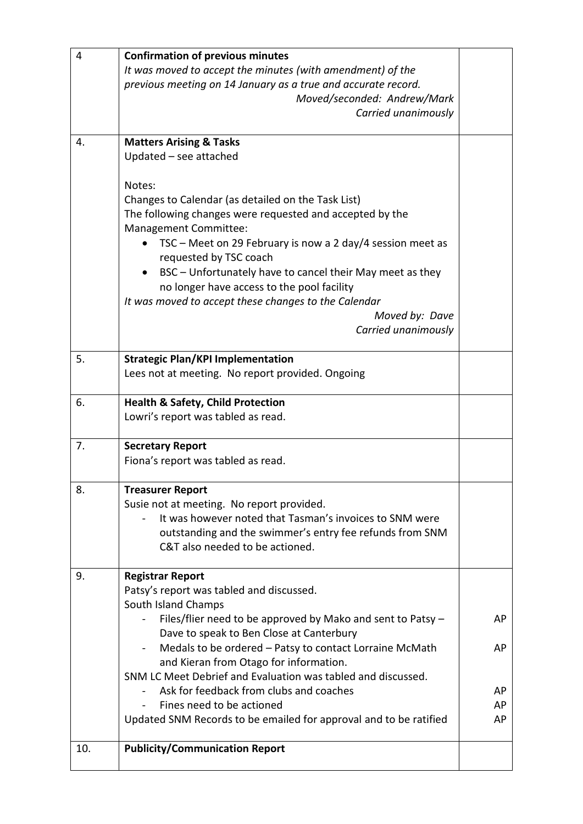| 4   | <b>Confirmation of previous minutes</b>                                                                |    |
|-----|--------------------------------------------------------------------------------------------------------|----|
|     | It was moved to accept the minutes (with amendment) of the                                             |    |
|     | previous meeting on 14 January as a true and accurate record.                                          |    |
|     | Moved/seconded: Andrew/Mark                                                                            |    |
|     | Carried unanimously                                                                                    |    |
|     |                                                                                                        |    |
| 4.  | <b>Matters Arising &amp; Tasks</b>                                                                     |    |
|     | Updated - see attached                                                                                 |    |
|     |                                                                                                        |    |
|     | Notes:                                                                                                 |    |
|     | Changes to Calendar (as detailed on the Task List)                                                     |    |
|     | The following changes were requested and accepted by the                                               |    |
|     | Management Committee:                                                                                  |    |
|     | TSC - Meet on 29 February is now a 2 day/4 session meet as                                             |    |
|     | requested by TSC coach                                                                                 |    |
|     | BSC – Unfortunately have to cancel their May meet as they                                              |    |
|     | no longer have access to the pool facility                                                             |    |
|     | It was moved to accept these changes to the Calendar                                                   |    |
|     | Moved by: Dave                                                                                         |    |
|     | Carried unanimously                                                                                    |    |
|     |                                                                                                        |    |
| 5.  | <b>Strategic Plan/KPI Implementation</b>                                                               |    |
|     | Lees not at meeting. No report provided. Ongoing                                                       |    |
| 6.  |                                                                                                        |    |
|     | <b>Health &amp; Safety, Child Protection</b>                                                           |    |
|     | Lowri's report was tabled as read.                                                                     |    |
| 7.  | <b>Secretary Report</b>                                                                                |    |
|     | Fiona's report was tabled as read.                                                                     |    |
|     |                                                                                                        |    |
| 8.  | <b>Treasurer Report</b>                                                                                |    |
|     | Susie not at meeting. No report provided.                                                              |    |
|     | It was however noted that Tasman's invoices to SNM were                                                |    |
|     | outstanding and the swimmer's entry fee refunds from SNM                                               |    |
|     | C&T also needed to be actioned.                                                                        |    |
|     |                                                                                                        |    |
| 9.  | <b>Registrar Report</b>                                                                                |    |
|     | Patsy's report was tabled and discussed.                                                               |    |
|     | South Island Champs                                                                                    |    |
|     | Files/flier need to be approved by Mako and sent to Patsy -                                            | AP |
|     | Dave to speak to Ben Close at Canterbury                                                               | AP |
|     | Medals to be ordered - Patsy to contact Lorraine McMath                                                |    |
|     | and Kieran from Otago for information.<br>SNM LC Meet Debrief and Evaluation was tabled and discussed. |    |
|     | Ask for feedback from clubs and coaches                                                                | AP |
|     | Fines need to be actioned                                                                              | AP |
|     | Updated SNM Records to be emailed for approval and to be ratified                                      | AP |
|     |                                                                                                        |    |
| 10. | <b>Publicity/Communication Report</b>                                                                  |    |
|     |                                                                                                        |    |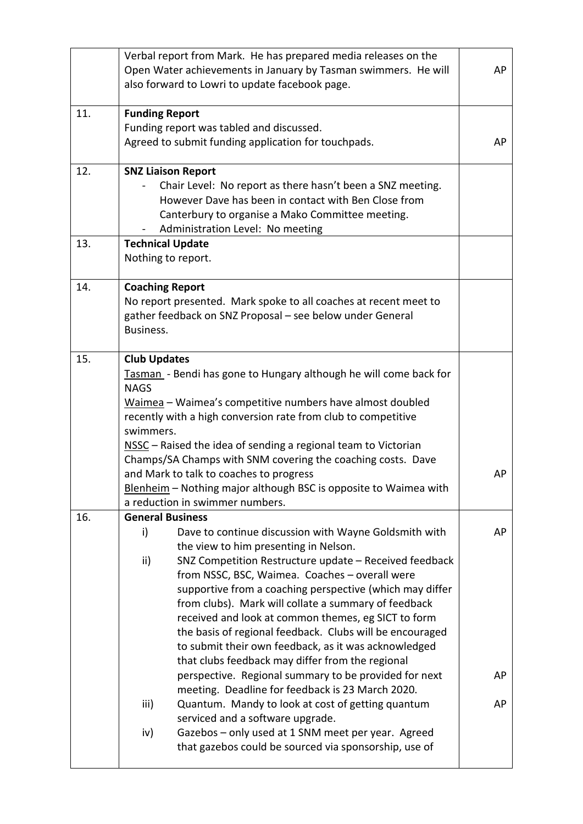|     | Verbal report from Mark. He has prepared media releases on the<br>Open Water achievements in January by Tasman swimmers. He will<br>also forward to Lowri to update facebook page.                                                                                                                                                                                                                                                                                                                                                                                                                                                                                                                                                                                                                                                                                                                                                        | AP             |
|-----|-------------------------------------------------------------------------------------------------------------------------------------------------------------------------------------------------------------------------------------------------------------------------------------------------------------------------------------------------------------------------------------------------------------------------------------------------------------------------------------------------------------------------------------------------------------------------------------------------------------------------------------------------------------------------------------------------------------------------------------------------------------------------------------------------------------------------------------------------------------------------------------------------------------------------------------------|----------------|
| 11. | <b>Funding Report</b><br>Funding report was tabled and discussed.<br>Agreed to submit funding application for touchpads.                                                                                                                                                                                                                                                                                                                                                                                                                                                                                                                                                                                                                                                                                                                                                                                                                  | AP             |
| 12. | <b>SNZ Liaison Report</b><br>Chair Level: No report as there hasn't been a SNZ meeting.<br>However Dave has been in contact with Ben Close from<br>Canterbury to organise a Mako Committee meeting.<br>Administration Level: No meeting                                                                                                                                                                                                                                                                                                                                                                                                                                                                                                                                                                                                                                                                                                   |                |
| 13. | <b>Technical Update</b><br>Nothing to report.                                                                                                                                                                                                                                                                                                                                                                                                                                                                                                                                                                                                                                                                                                                                                                                                                                                                                             |                |
| 14. | <b>Coaching Report</b><br>No report presented. Mark spoke to all coaches at recent meet to<br>gather feedback on SNZ Proposal - see below under General<br>Business.                                                                                                                                                                                                                                                                                                                                                                                                                                                                                                                                                                                                                                                                                                                                                                      |                |
| 15. | <b>Club Updates</b><br>Tasman - Bendi has gone to Hungary although he will come back for<br><b>NAGS</b><br>Waimea - Waimea's competitive numbers have almost doubled<br>recently with a high conversion rate from club to competitive<br>swimmers.<br>NSSC - Raised the idea of sending a regional team to Victorian<br>Champs/SA Champs with SNM covering the coaching costs. Dave<br>and Mark to talk to coaches to progress<br>Blenheim - Nothing major although BSC is opposite to Waimea with<br>a reduction in swimmer numbers.                                                                                                                                                                                                                                                                                                                                                                                                     | AP             |
| 16. | <b>General Business</b><br>i)<br>Dave to continue discussion with Wayne Goldsmith with<br>the view to him presenting in Nelson.<br>SNZ Competition Restructure update - Received feedback<br>ii)<br>from NSSC, BSC, Waimea. Coaches - overall were<br>supportive from a coaching perspective (which may differ<br>from clubs). Mark will collate a summary of feedback<br>received and look at common themes, eg SICT to form<br>the basis of regional feedback. Clubs will be encouraged<br>to submit their own feedback, as it was acknowledged<br>that clubs feedback may differ from the regional<br>perspective. Regional summary to be provided for next<br>meeting. Deadline for feedback is 23 March 2020.<br>iii)<br>Quantum. Mandy to look at cost of getting quantum<br>serviced and a software upgrade.<br>Gazebos - only used at 1 SNM meet per year. Agreed<br>iv)<br>that gazebos could be sourced via sponsorship, use of | AP<br>AP<br>AP |